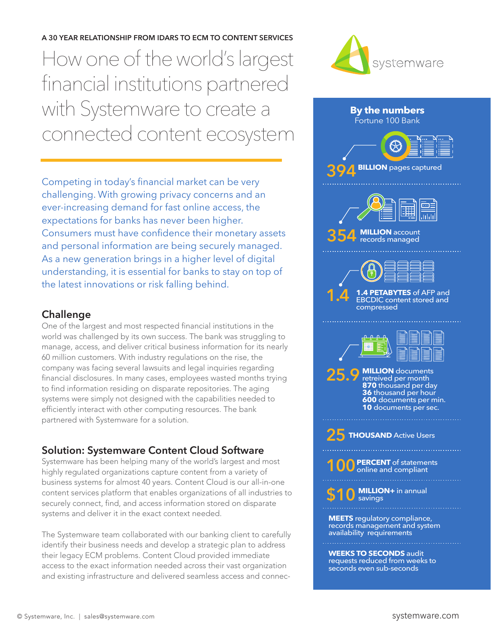**A 30 YEAR RELATIONSHIP FROM IDARS TO ECM TO CONTENT SERVICES**  How one of the world's largest financial institutions partnered with Systemware to create a connected content ecosystem

Competing in today's financial market can be very challenging. With growing privacy concerns and an ever-increasing demand for fast online access, the expectations for banks has never been higher. Consumers must have confidence their monetary assets and personal information are being securely managed. As a new generation brings in a higher level of digital understanding, it is essential for banks to stay on top of the latest innovations or risk falling behind.

## **Challenge**

One of the largest and most respected financial institutions in the world was challenged by its own success. The bank was struggling to manage, access, and deliver critical business information for its nearly 60 million customers. With industry regulations on the rise, the company was facing several lawsuits and legal inquiries regarding financial disclosures. In many cases, employees wasted months trying to find information residing on disparate repositories. The aging systems were simply not designed with the capabilities needed to efficiently interact with other computing resources. The bank partnered with Systemware for a solution.

## **Solution: Systemware Content Cloud Software**

Systemware has been helping many of the world's largest and most highly regulated organizations capture content from a variety of business systems for almost 40 years. Content Cloud is our all-in-one content services platform that enables organizations of all industries to securely connect, find, and access information stored on disparate systems and deliver it in the exact context needed.

The Systemware team collaborated with our banking client to carefully identify their business needs and develop a strategic plan to address their legacy ECM problems. Content Cloud provided immediate access to the exact information needed across their vast organization and existing infrastructure and delivered seamless access and connec-